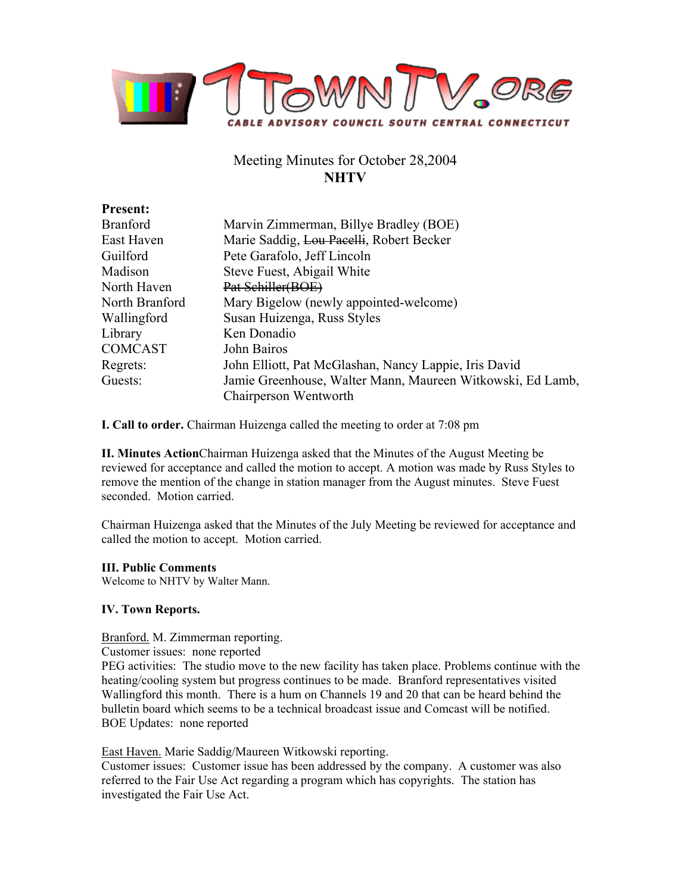

# Meeting Minutes for October 28,2004 **NHTV**

| <b>Present:</b> |                                                            |
|-----------------|------------------------------------------------------------|
| <b>Branford</b> | Marvin Zimmerman, Billye Bradley (BOE)                     |
| East Haven      | Marie Saddig, Lou Pacelli, Robert Becker                   |
| Guilford        | Pete Garafolo, Jeff Lincoln                                |
| Madison         | Steve Fuest, Abigail White                                 |
| North Haven     | Pat Schiller(BOE)                                          |
| North Branford  | Mary Bigelow (newly appointed-welcome)                     |
| Wallingford     | Susan Huizenga, Russ Styles                                |
| Library         | Ken Donadio                                                |
| <b>COMCAST</b>  | John Bairos                                                |
| Regrets:        | John Elliott, Pat McGlashan, Nancy Lappie, Iris David      |
| Guests:         | Jamie Greenhouse, Walter Mann, Maureen Witkowski, Ed Lamb, |
|                 | Chairperson Wentworth                                      |

**I. Call to order.** Chairman Huizenga called the meeting to order at 7:08 pm

**II. Minutes Action**Chairman Huizenga asked that the Minutes of the August Meeting be reviewed for acceptance and called the motion to accept. A motion was made by Russ Styles to remove the mention of the change in station manager from the August minutes. Steve Fuest seconded. Motion carried.

Chairman Huizenga asked that the Minutes of the July Meeting be reviewed for acceptance and called the motion to accept. Motion carried.

# **III. Public Comments**

Welcome to NHTV by Walter Mann.

# **IV. Town Reports.**

Branford. M. Zimmerman reporting.

Customer issues: none reported

PEG activities: The studio move to the new facility has taken place. Problems continue with the heating/cooling system but progress continues to be made. Branford representatives visited Wallingford this month. There is a hum on Channels 19 and 20 that can be heard behind the bulletin board which seems to be a technical broadcast issue and Comcast will be notified. BOE Updates: none reported

East Haven. Marie Saddig/Maureen Witkowski reporting.

Customer issues: Customer issue has been addressed by the company. A customer was also referred to the Fair Use Act regarding a program which has copyrights. The station has investigated the Fair Use Act.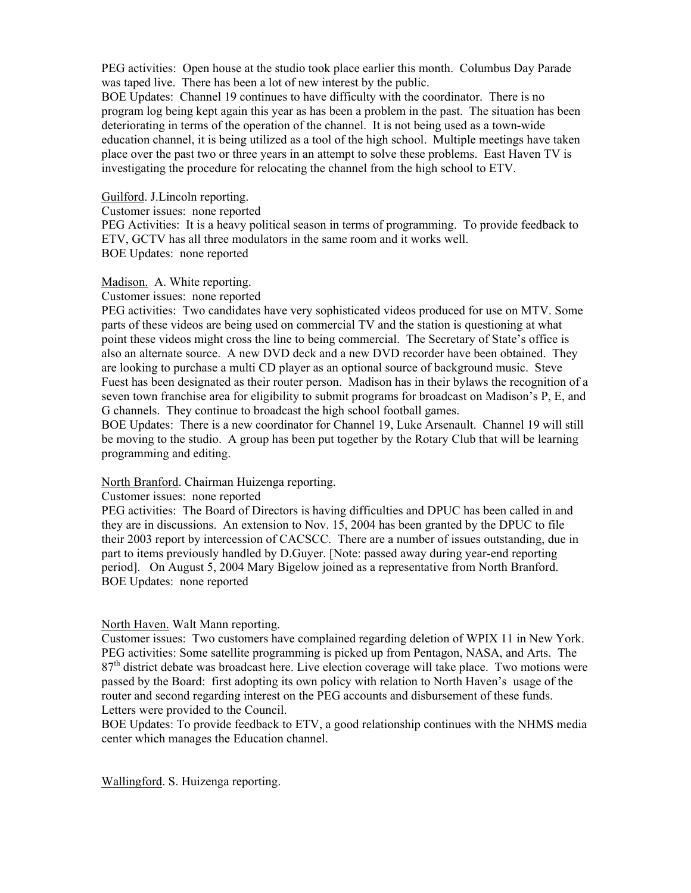PEG activities: Open house at the studio took place earlier this month. Columbus Day Parade was taped live. There has been a lot of new interest by the public.

BOE Updates: Channel 19 continues to have difficulty with the coordinator. There is no program log being kept again this year as has been a problem in the past. The situation has been deteriorating in terms of the operation of the channel. It is not being used as a town-wide education channel, it is being utilized as a tool of the high school. Multiple meetings have taken place over the past two or three years in an attempt to solve these problems. East Haven TV is investigating the procedure for relocating the channel from the high school to ETV.

Guilford. J.Lincoln reporting.

Customer issues: none reported

PEG Activities: It is a heavy political season in terms of programming. To provide feedback to ETV, GCTV has all three modulators in the same room and it works well. BOE Updates: none reported

Madison. A. White reporting.

#### Customer issues: none reported

PEG activities: Two candidates have very sophisticated videos produced for use on MTV. Some parts of these videos are being used on commercial TV and the station is questioning at what point these videos might cross the line to being commercial. The Secretary of State's office is also an alternate source. A new DVD deck and a new DVD recorder have been obtained. They are looking to purchase a multi CD player as an optional source of background music. Steve Fuest has been designated as their router person. Madison has in their bylaws the recognition of a seven town franchise area for eligibility to submit programs for broadcast on Madison's P, E, and G channels. They continue to broadcast the high school football games.

BOE Updates: There is a new coordinator for Channel 19, Luke Arsenault. Channel 19 will still be moving to the studio. A group has been put together by the Rotary Club that will be learning programming and editing.

# North Branford. Chairman Huizenga reporting.

Customer issues: none reported

PEG activities: The Board of Directors is having difficulties and DPUC has been called in and they are in discussions. An extension to Nov. 15, 2004 has been granted by the DPUC to file their 2003 report by intercession of CACSCC. There are a number of issues outstanding, due in part to items previously handled by D.Guyer. [Note: passed away during year-end reporting period]. On August 5, 2004 Mary Bigelow joined as a representative from North Branford. BOE Updates: none reported

# North Haven. Walt Mann reporting.

Customer issues: Two customers have complained regarding deletion of WPIX 11 in New York. PEG activities: Some satellite programming is picked up from Pentagon, NASA, and Arts. The 87<sup>th</sup> district debate was broadcast here. Live election coverage will take place. Two motions were passed by the Board: first adopting its own policy with relation to North Haven's usage of the router and second regarding interest on the PEG accounts and disbursement of these funds. Letters were provided to the Council.

BOE Updates: To provide feedback to ETV, a good relationship continues with the NHMS media center which manages the Education channel.

Wallingford. S. Huizenga reporting.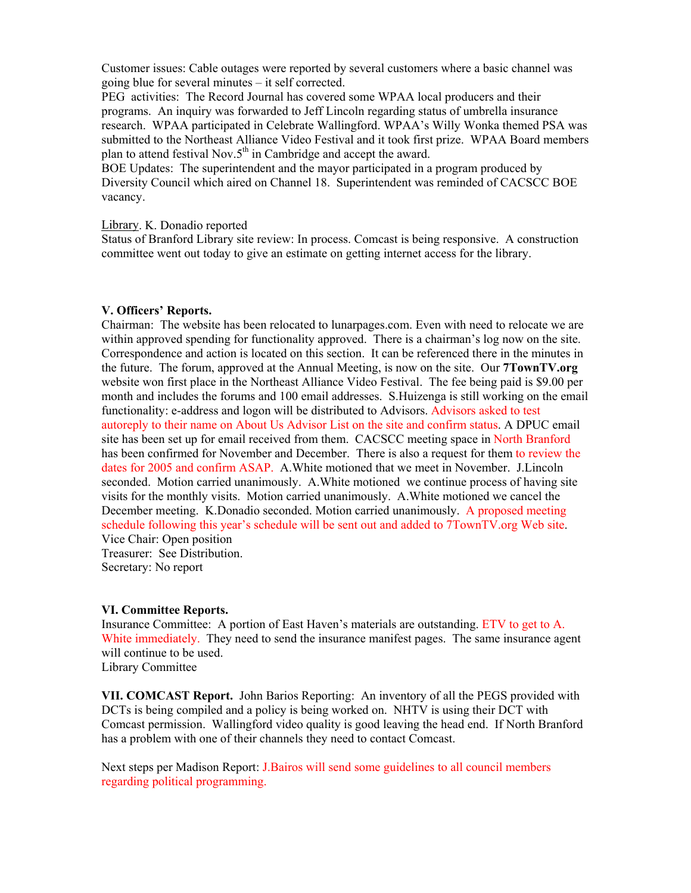Customer issues: Cable outages were reported by several customers where a basic channel was going blue for several minutes – it self corrected.

PEG activities: The Record Journal has covered some WPAA local producers and their programs. An inquiry was forwarded to Jeff Lincoln regarding status of umbrella insurance research. WPAA participated in Celebrate Wallingford. WPAA's Willy Wonka themed PSA was submitted to the Northeast Alliance Video Festival and it took first prize. WPAA Board members plan to attend festival Nov.5<sup>th</sup> in Cambridge and accept the award.

BOE Updates: The superintendent and the mayor participated in a program produced by Diversity Council which aired on Channel 18. Superintendent was reminded of CACSCC BOE vacancy.

# Library. K. Donadio reported

Status of Branford Library site review: In process. Comcast is being responsive. A construction committee went out today to give an estimate on getting internet access for the library.

# **V. Officers' Reports.**

Chairman: The website has been relocated to lunarpages.com. Even with need to relocate we are within approved spending for functionality approved. There is a chairman's log now on the site. Correspondence and action is located on this section. It can be referenced there in the minutes in the future. The forum, approved at the Annual Meeting, is now on the site. Our **7TownTV.org** website won first place in the Northeast Alliance Video Festival. The fee being paid is \$9.00 per month and includes the forums and 100 email addresses. S.Huizenga is still working on the email functionality: e-address and logon will be distributed to Advisors. Advisors asked to test autoreply to their name on About Us Advisor List on the site and confirm status. A DPUC email site has been set up for email received from them. CACSCC meeting space in North Branford has been confirmed for November and December. There is also a request for them to review the dates for 2005 and confirm ASAP. A.White motioned that we meet in November. J.Lincoln seconded. Motion carried unanimously. A.White motioned we continue process of having site visits for the monthly visits. Motion carried unanimously. A.White motioned we cancel the December meeting. K.Donadio seconded. Motion carried unanimously. A proposed meeting schedule following this year's schedule will be sent out and added to 7TownTV.org Web site. Vice Chair: Open position Treasurer: See Distribution.

Secretary: No report

#### **VI. Committee Reports.**

Insurance Committee: A portion of East Haven's materials are outstanding. ETV to get to A. White immediately. They need to send the insurance manifest pages. The same insurance agent will continue to be used. Library Committee

**VII. COMCAST Report.** John Barios Reporting: An inventory of all the PEGS provided with DCTs is being compiled and a policy is being worked on. NHTV is using their DCT with Comcast permission. Wallingford video quality is good leaving the head end. If North Branford has a problem with one of their channels they need to contact Comcast.

Next steps per Madison Report: J.Bairos will send some guidelines to all council members regarding political programming.